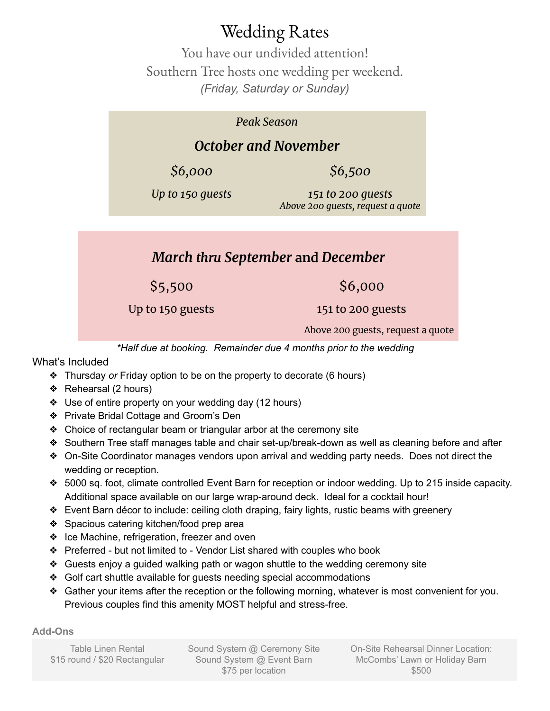# Wedding Rates

You have our undivided attention! Southern Tree hosts one wedding per weekend. *(Friday, Saturday or Sunday)*

#### *Peak Season*

## *October and November*

*\$6,000 \$6,500*

*Up to 150 guests 151 to 200 guests Above 200 guests, request a quote*

### *March thru September* **and** *December*

 $$5,500$  \$6,000

Up to 150 guests 151 to 200 guests

Above 200 guests, request a quote

*\*Half due at booking. Remainder due 4 months prior to the wedding*

What's Included

- ❖ Thursday *or* Friday option to be on the property to decorate (6 hours)
- ❖ Rehearsal (2 hours)
- ❖ Use of entire property on your wedding day (12 hours)
- ❖ Private Bridal Cottage and Groom's Den
- ❖ Choice of rectangular beam or triangular arbor at the ceremony site
- ❖ Southern Tree staff manages table and chair set-up/break-down as well as cleaning before and after
- ❖ On-Site Coordinator manages vendors upon arrival and wedding party needs. Does not direct the wedding or reception.
- ❖ 5000 sq. foot, climate controlled Event Barn for reception or indoor wedding. Up to 215 inside capacity. Additional space available on our large wrap-around deck. Ideal for a cocktail hour!
- ❖ Event Barn décor to include: ceiling cloth draping, fairy lights, rustic beams with greenery
- ❖ Spacious catering kitchen/food prep area
- ❖ Ice Machine, refrigeration, freezer and oven
- ❖ Preferred but not limited to Vendor List shared with couples who book
- ❖ Guests enjoy a guided walking path or wagon shuttle to the wedding ceremony site
- ❖ Golf cart shuttle available for guests needing special accommodations
- ❖ Gather your items after the reception or the following morning, whatever is most convenient for you. Previous couples find this amenity MOST helpful and stress-free.

#### **Add-Ons**

Table Linen Rental \$15 round / \$20 Rectangular